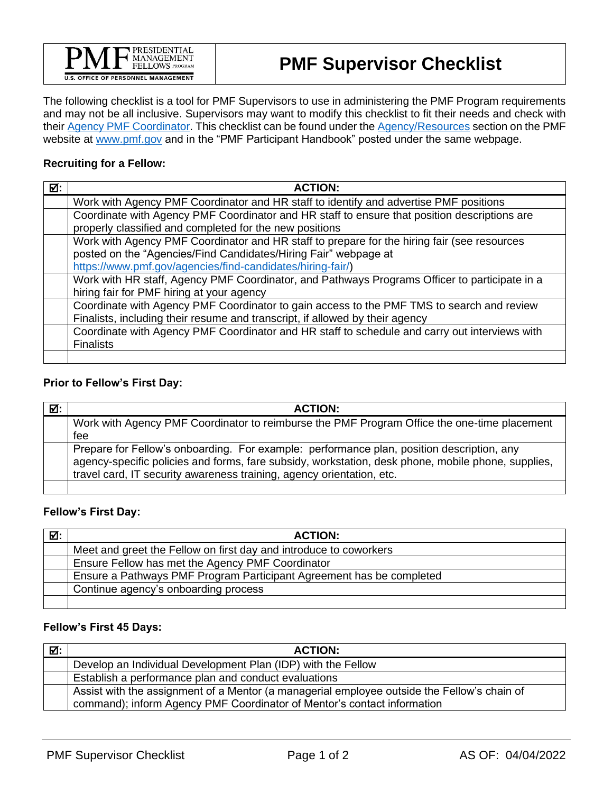

The following checklist is a tool for PMF Supervisors to use in administering the PMF Program requirements and may not be all inclusive. Supervisors may want to modify this checklist to fit their needs and check with their [Agency PMF Coordinator.](https://apply.pmf.gov/coordinators.aspx) This checklist can be found under the [Agency/Resources](https://www.pmf.gov/agencies/resources/) section on the PMF website at [www.pmf.gov](http://www.pmf.gov/) and in the "PMF Participant Handbook" posted under the same webpage.

#### **Recruiting for a Fellow:**

| ☑: | <b>ACTION:</b>                                                                                |
|----|-----------------------------------------------------------------------------------------------|
|    | Work with Agency PMF Coordinator and HR staff to identify and advertise PMF positions         |
|    | Coordinate with Agency PMF Coordinator and HR staff to ensure that position descriptions are  |
|    | properly classified and completed for the new positions                                       |
|    | Work with Agency PMF Coordinator and HR staff to prepare for the hiring fair (see resources   |
|    | posted on the "Agencies/Find Candidates/Hiring Fair" webpage at                               |
|    | https://www.pmf.gov/agencies/find-candidates/hiring-fair/)                                    |
|    | Work with HR staff, Agency PMF Coordinator, and Pathways Programs Officer to participate in a |
|    | hiring fair for PMF hiring at your agency                                                     |
|    | Coordinate with Agency PMF Coordinator to gain access to the PMF TMS to search and review     |
|    | Finalists, including their resume and transcript, if allowed by their agency                  |
|    | Coordinate with Agency PMF Coordinator and HR staff to schedule and carry out interviews with |
|    | <b>Finalists</b>                                                                              |
|    |                                                                                               |

## **Prior to Fellow's First Day:**

| ☑: | <b>ACTION:</b>                                                                                                                                                                                                                                                           |
|----|--------------------------------------------------------------------------------------------------------------------------------------------------------------------------------------------------------------------------------------------------------------------------|
|    | Work with Agency PMF Coordinator to reimburse the PMF Program Office the one-time placement<br>fee                                                                                                                                                                       |
|    | Prepare for Fellow's onboarding. For example: performance plan, position description, any<br>agency-specific policies and forms, fare subsidy, workstation, desk phone, mobile phone, supplies,<br>travel card, IT security awareness training, agency orientation, etc. |
|    |                                                                                                                                                                                                                                                                          |

## **Fellow's First Day:**

| ☑: | <b>ACTION:</b>                                                       |
|----|----------------------------------------------------------------------|
|    | Meet and greet the Fellow on first day and introduce to coworkers    |
|    | Ensure Fellow has met the Agency PMF Coordinator                     |
|    | Ensure a Pathways PMF Program Participant Agreement has be completed |
|    | Continue agency's onboarding process                                 |
|    |                                                                      |

#### **Fellow's First 45 Days:**

| ☑: | <b>ACTION:</b>                                                                              |
|----|---------------------------------------------------------------------------------------------|
|    | Develop an Individual Development Plan (IDP) with the Fellow                                |
|    | Establish a performance plan and conduct evaluations                                        |
|    | Assist with the assignment of a Mentor (a managerial employee outside the Fellow's chain of |
|    | command); inform Agency PMF Coordinator of Mentor's contact information                     |